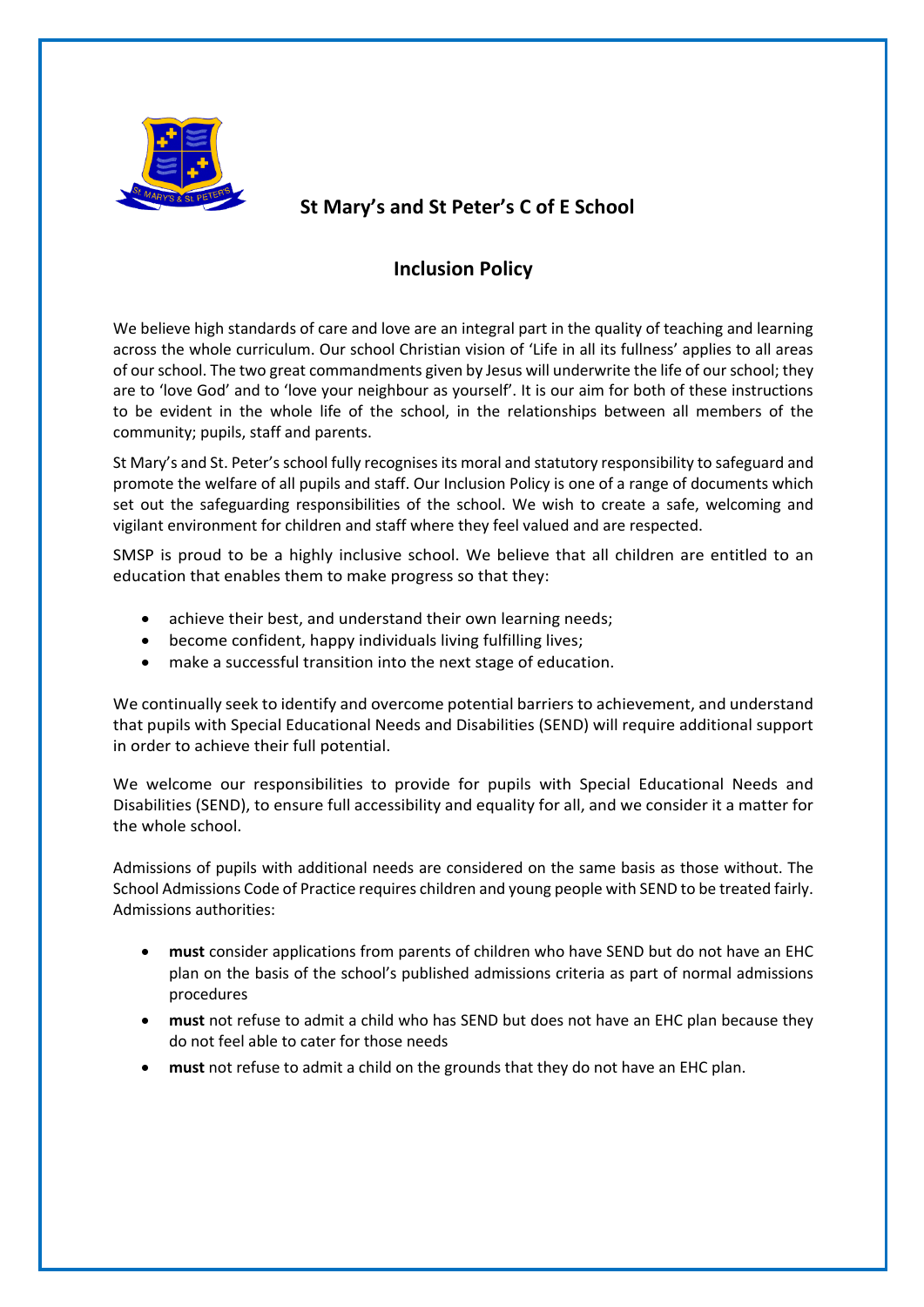

# **St Mary's and St Peter's C of E School**

## **Inclusion Policy**

We believe high standards of care and love are an integral part in the quality of teaching and learning across the whole curriculum. Our school Christian vision of 'Life in all its fullness' applies to all areas of our school. The two great commandments given by Jesus will underwrite the life of our school; they are to 'love God' and to 'love your neighbour as yourself'. It is our aim for both of these instructions to be evident in the whole life of the school, in the relationships between all members of the community; pupils, staff and parents.

St Mary's and St. Peter's school fully recognises its moral and statutory responsibility to safeguard and promote the welfare of all pupils and staff. Our Inclusion Policy is one of a range of documents which set out the safeguarding responsibilities of the school. We wish to create a safe, welcoming and vigilant environment for children and staff where they feel valued and are respected.

SMSP is proud to be a highly inclusive school. We believe that all children are entitled to an education that enables them to make progress so that they:

- achieve their best, and understand their own learning needs;
- become confident, happy individuals living fulfilling lives;
- make a successful transition into the next stage of education.

We continually seek to identify and overcome potential barriers to achievement, and understand that pupils with Special Educational Needs and Disabilities (SEND) will require additional support in order to achieve their full potential.

We welcome our responsibilities to provide for pupils with Special Educational Needs and Disabilities (SEND), to ensure full accessibility and equality for all, and we consider it a matter for the whole school.

Admissions of pupils with additional needs are considered on the same basis as those without. The School Admissions Code of Practice requires children and young people with SEND to be treated fairly. Admissions authorities:

- **must** consider applications from parents of children who have SEND but do not have an EHC plan on the basis of the school's published admissions criteria as part of normal admissions procedures
- **must** not refuse to admit a child who has SEND but does not have an EHC plan because they do not feel able to cater for those needs
- **must** not refuse to admit a child on the grounds that they do not have an EHC plan.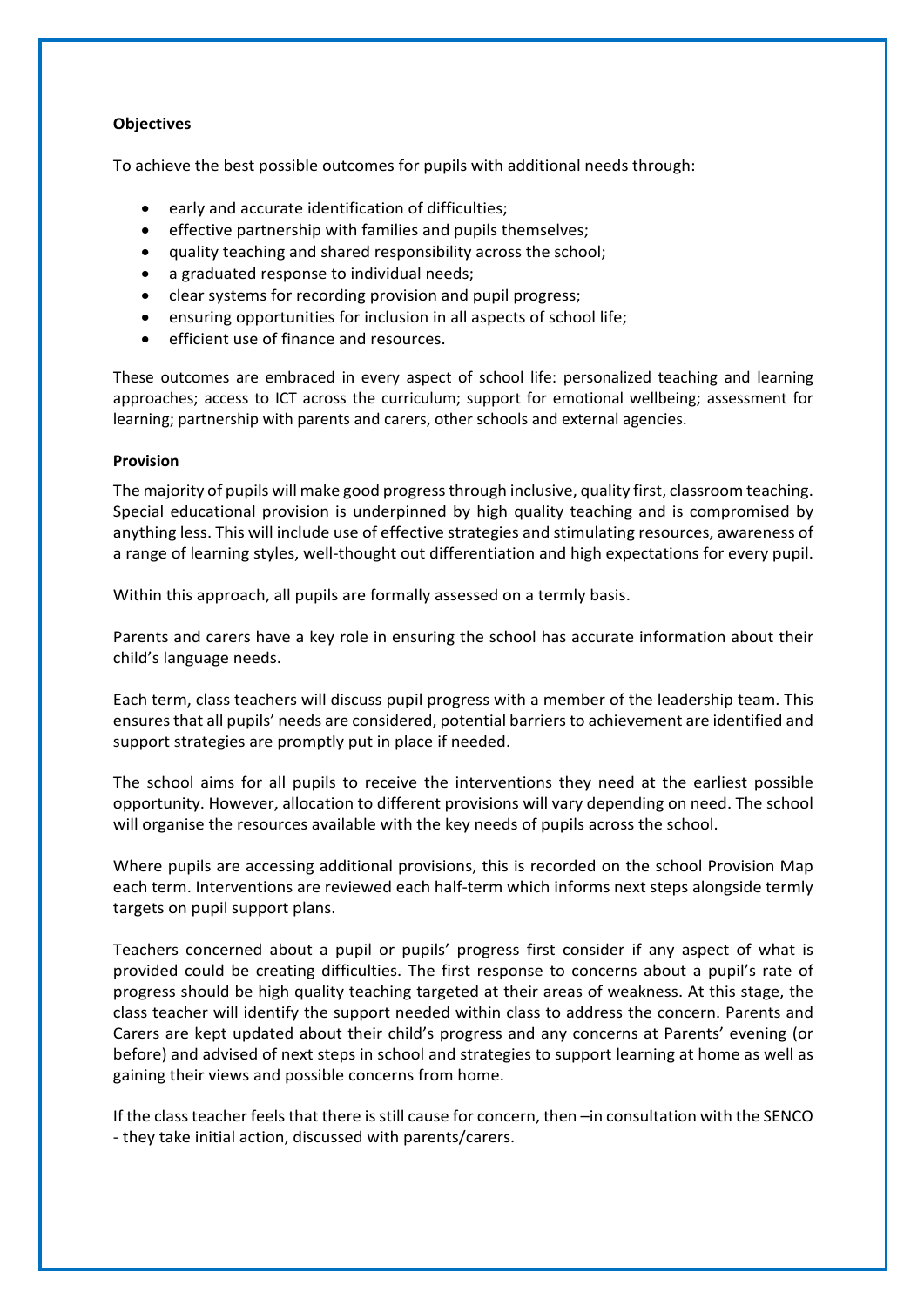## **Objectives**

To achieve the best possible outcomes for pupils with additional needs through:

- early and accurate identification of difficulties;
- effective partnership with families and pupils themselves;
- quality teaching and shared responsibility across the school;
- a graduated response to individual needs;
- clear systems for recording provision and pupil progress;
- ensuring opportunities for inclusion in all aspects of school life;
- efficient use of finance and resources.

These outcomes are embraced in every aspect of school life: personalized teaching and learning approaches; access to ICT across the curriculum; support for emotional wellbeing; assessment for learning; partnership with parents and carers, other schools and external agencies.

#### **Provision**

The majority of pupils will make good progress through inclusive, quality first, classroom teaching. Special educational provision is underpinned by high quality teaching and is compromised by anything less. This will include use of effective strategies and stimulating resources, awareness of a range of learning styles, well-thought out differentiation and high expectations for every pupil.

Within this approach, all pupils are formally assessed on a termly basis.

Parents and carers have a key role in ensuring the school has accurate information about their child's language needs.

Each term, class teachers will discuss pupil progress with a member of the leadership team. This ensures that all pupils' needs are considered, potential barriers to achievement are identified and support strategies are promptly put in place if needed.

The school aims for all pupils to receive the interventions they need at the earliest possible opportunity. However, allocation to different provisions will vary depending on need. The school will organise the resources available with the key needs of pupils across the school.

Where pupils are accessing additional provisions, this is recorded on the school Provision Map each term. Interventions are reviewed each half-term which informs next steps alongside termly targets on pupil support plans.

Teachers concerned about a pupil or pupils' progress first consider if any aspect of what is provided could be creating difficulties. The first response to concerns about a pupil's rate of progress should be high quality teaching targeted at their areas of weakness. At this stage, the class teacher will identify the support needed within class to address the concern. Parents and Carers are kept updated about their child's progress and any concerns at Parents' evening (or before) and advised of next steps in school and strategies to support learning at home as well as gaining their views and possible concerns from home.

If the class teacher feels that there is still cause for concern, then –in consultation with the SENCO - they take initial action, discussed with parents/carers.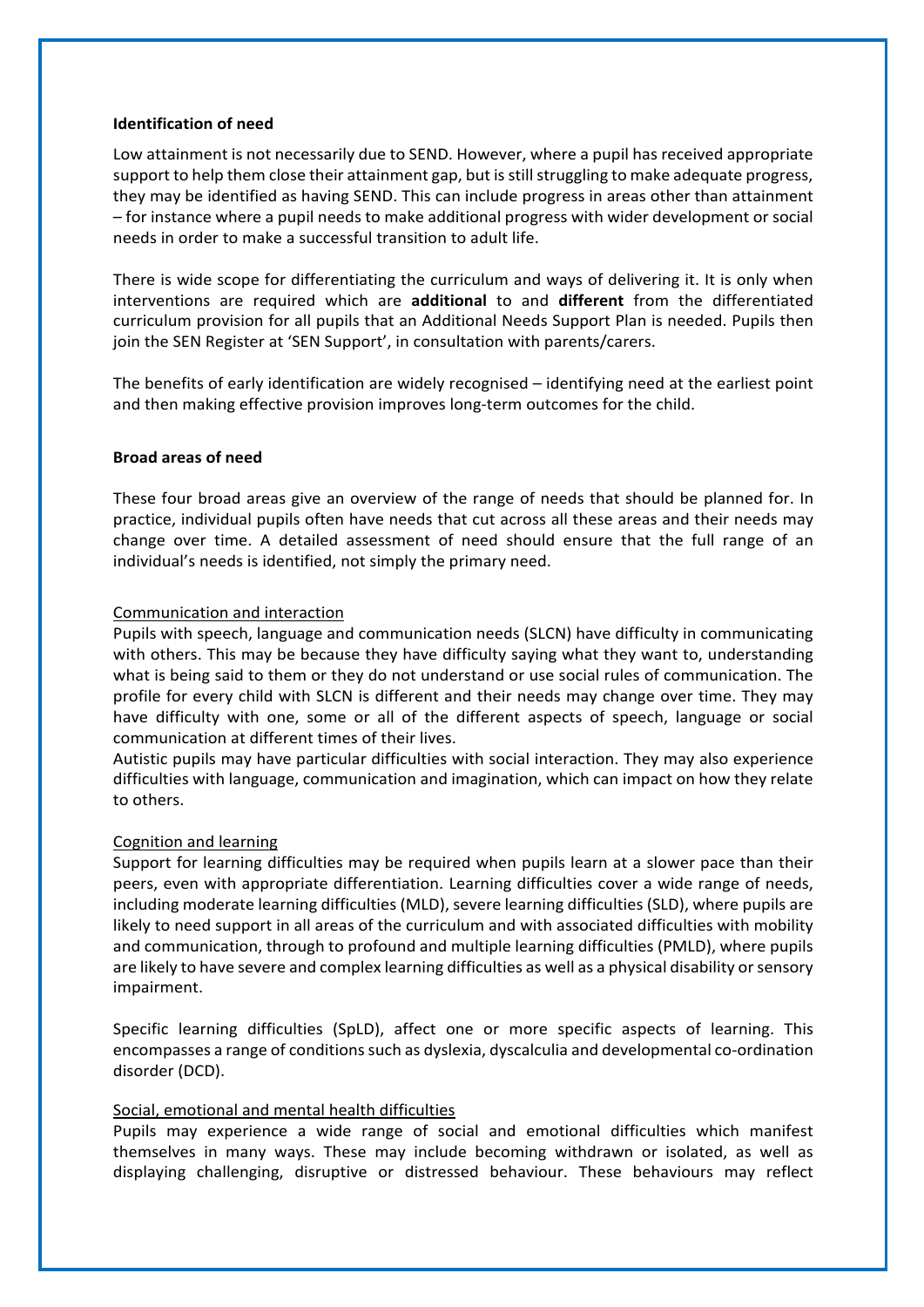#### **Identification of need**

Low attainment is not necessarily due to SEND. However, where a pupil has received appropriate support to help them close their attainment gap, but is still struggling to make adequate progress, they may be identified as having SEND. This can include progress in areas other than attainment – for instance where a pupil needs to make additional progress with wider development or social needs in order to make a successful transition to adult life.

There is wide scope for differentiating the curriculum and ways of delivering it. It is only when interventions are required which are **additional** to and **different** from the differentiated curriculum provision for all pupils that an Additional Needs Support Plan is needed. Pupils then join the SEN Register at 'SEN Support', in consultation with parents/carers.

The benefits of early identification are widely recognised – identifying need at the earliest point and then making effective provision improves long-term outcomes for the child.

#### **Broad areas of need**

These four broad areas give an overview of the range of needs that should be planned for. In practice, individual pupils often have needs that cut across all these areas and their needs may change over time. A detailed assessment of need should ensure that the full range of an individual's needs is identified, not simply the primary need.

#### Communication and interaction

Pupils with speech, language and communication needs (SLCN) have difficulty in communicating with others. This may be because they have difficulty saying what they want to, understanding what is being said to them or they do not understand or use social rules of communication. The profile for every child with SLCN is different and their needs may change over time. They may have difficulty with one, some or all of the different aspects of speech, language or social communication at different times of their lives.

Autistic pupils may have particular difficulties with social interaction. They may also experience difficulties with language, communication and imagination, which can impact on how they relate to others.

## Cognition and learning

Support for learning difficulties may be required when pupils learn at a slower pace than their peers, even with appropriate differentiation. Learning difficulties cover a wide range of needs, including moderate learning difficulties (MLD), severe learning difficulties (SLD), where pupils are likely to need support in all areas of the curriculum and with associated difficulties with mobility and communication, through to profound and multiple learning difficulties (PMLD), where pupils are likely to have severe and complex learning difficulties as well as a physical disability or sensory impairment.

Specific learning difficulties (SpLD), affect one or more specific aspects of learning. This encompasses a range of conditions such as dyslexia, dyscalculia and developmental co-ordination disorder (DCD).

## Social, emotional and mental health difficulties

Pupils may experience a wide range of social and emotional difficulties which manifest themselves in many ways. These may include becoming withdrawn or isolated, as well as displaying challenging, disruptive or distressed behaviour. These behaviours may reflect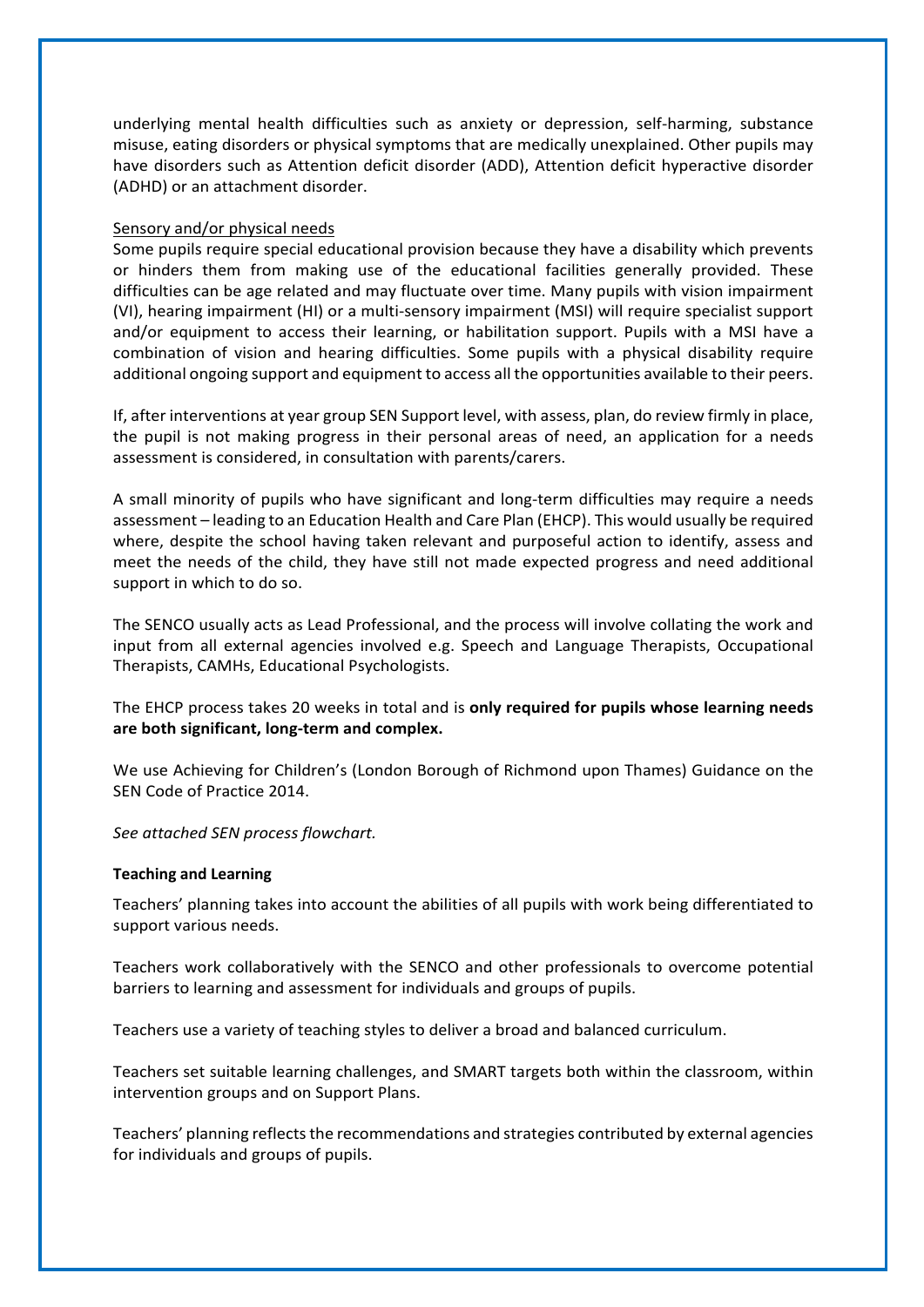underlying mental health difficulties such as anxiety or depression, self-harming, substance misuse, eating disorders or physical symptoms that are medically unexplained. Other pupils may have disorders such as Attention deficit disorder (ADD), Attention deficit hyperactive disorder (ADHD) or an attachment disorder.

#### Sensory and/or physical needs

Some pupils require special educational provision because they have a disability which prevents or hinders them from making use of the educational facilities generally provided. These difficulties can be age related and may fluctuate over time. Many pupils with vision impairment (VI), hearing impairment (HI) or a multi-sensory impairment (MSI) will require specialist support and/or equipment to access their learning, or habilitation support. Pupils with a MSI have a combination of vision and hearing difficulties. Some pupils with a physical disability require additional ongoing support and equipment to access all the opportunities available to their peers.

If, after interventions at year group SEN Support level, with assess, plan, do review firmly in place, the pupil is not making progress in their personal areas of need, an application for a needs assessment is considered, in consultation with parents/carers.

A small minority of pupils who have significant and long-term difficulties may require a needs assessment – leading to an Education Health and Care Plan (EHCP). This would usually be required where, despite the school having taken relevant and purposeful action to identify, assess and meet the needs of the child, they have still not made expected progress and need additional support in which to do so.

The SENCO usually acts as Lead Professional, and the process will involve collating the work and input from all external agencies involved e.g. Speech and Language Therapists, Occupational Therapists, CAMHs, Educational Psychologists.

The EHCP process takes 20 weeks in total and is **only required for pupils whose learning needs are both significant, long-term and complex.** 

We use Achieving for Children's (London Borough of Richmond upon Thames) Guidance on the SEN Code of Practice 2014.

*See attached SEN process flowchart.*

#### **Teaching and Learning**

Teachers' planning takes into account the abilities of all pupils with work being differentiated to support various needs.

Teachers work collaboratively with the SENCO and other professionals to overcome potential barriers to learning and assessment for individuals and groups of pupils.

Teachers use a variety of teaching styles to deliver a broad and balanced curriculum.

Teachers set suitable learning challenges, and SMART targets both within the classroom, within intervention groups and on Support Plans.

Teachers' planning reflects the recommendations and strategies contributed by external agencies for individuals and groups of pupils.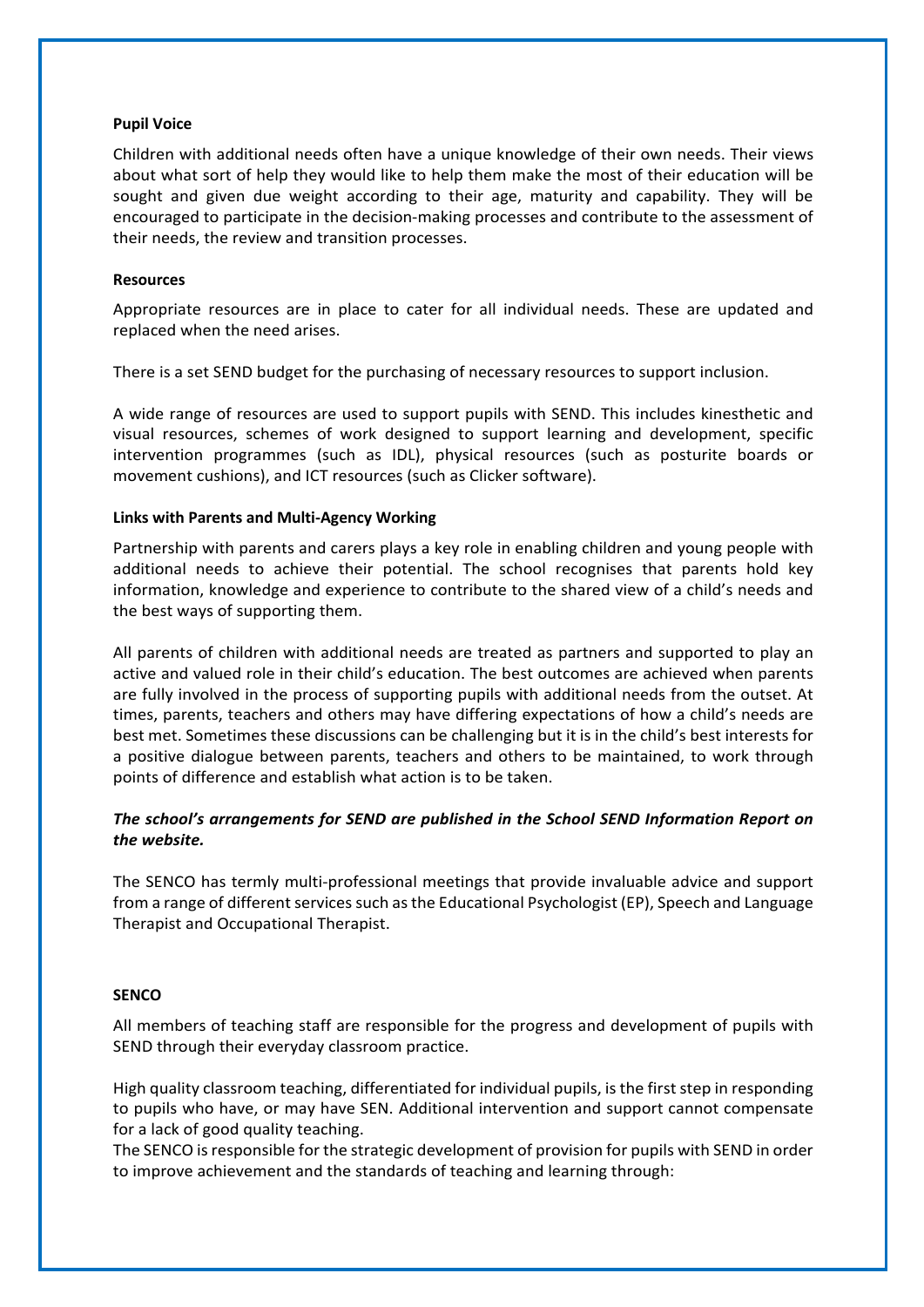#### **Pupil Voice**

Children with additional needs often have a unique knowledge of their own needs. Their views about what sort of help they would like to help them make the most of their education will be sought and given due weight according to their age, maturity and capability. They will be encouraged to participate in the decision-making processes and contribute to the assessment of their needs, the review and transition processes.

#### **Resources**

Appropriate resources are in place to cater for all individual needs. These are updated and replaced when the need arises.

There is a set SEND budget for the purchasing of necessary resources to support inclusion.

A wide range of resources are used to support pupils with SEND. This includes kinesthetic and visual resources, schemes of work designed to support learning and development, specific intervention programmes (such as IDL), physical resources (such as posturite boards or movement cushions), and ICT resources (such as Clicker software).

#### **Links with Parents and Multi-Agency Working**

Partnership with parents and carers plays a key role in enabling children and young people with additional needs to achieve their potential. The school recognises that parents hold key information, knowledge and experience to contribute to the shared view of a child's needs and the best ways of supporting them.

All parents of children with additional needs are treated as partners and supported to play an active and valued role in their child's education. The best outcomes are achieved when parents are fully involved in the process of supporting pupils with additional needs from the outset. At times, parents, teachers and others may have differing expectations of how a child's needs are best met. Sometimes these discussions can be challenging but it is in the child's best interests for a positive dialogue between parents, teachers and others to be maintained, to work through points of difference and establish what action is to be taken.

## *The school's arrangements for SEND are published in the School SEND Information Report on the website.*

The SENCO has termly multi-professional meetings that provide invaluable advice and support from a range of different services such as the Educational Psychologist (EP), Speech and Language Therapist and Occupational Therapist.

#### **SENCO**

All members of teaching staff are responsible for the progress and development of pupils with SEND through their everyday classroom practice.

High quality classroom teaching, differentiated for individual pupils, is the first step in responding to pupils who have, or may have SEN. Additional intervention and support cannot compensate for a lack of good quality teaching.

The SENCO is responsible for the strategic development of provision for pupils with SEND in order to improve achievement and the standards of teaching and learning through: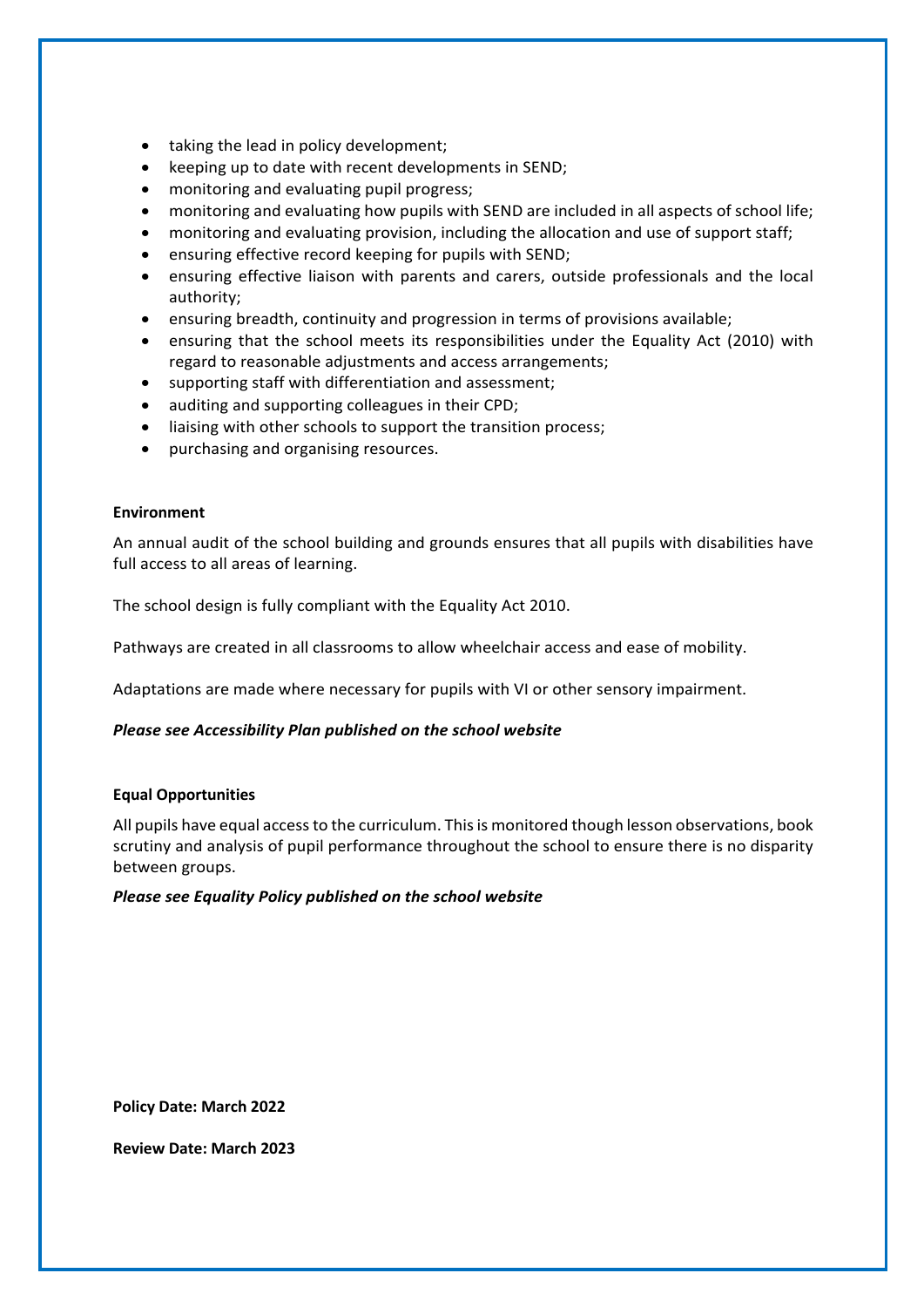- taking the lead in policy development;
- keeping up to date with recent developments in SEND;
- monitoring and evaluating pupil progress;
- monitoring and evaluating how pupils with SEND are included in all aspects of school life;
- monitoring and evaluating provision, including the allocation and use of support staff;
- ensuring effective record keeping for pupils with SEND;
- ensuring effective liaison with parents and carers, outside professionals and the local authority;
- ensuring breadth, continuity and progression in terms of provisions available;
- ensuring that the school meets its responsibilities under the Equality Act (2010) with regard to reasonable adjustments and access arrangements;
- supporting staff with differentiation and assessment;
- auditing and supporting colleagues in their CPD;
- liaising with other schools to support the transition process;
- purchasing and organising resources.

#### **Environment**

An annual audit of the school building and grounds ensures that all pupils with disabilities have full access to all areas of learning.

The school design is fully compliant with the Equality Act 2010.

Pathways are created in all classrooms to allow wheelchair access and ease of mobility.

Adaptations are made where necessary for pupils with VI or other sensory impairment.

## *Please see Accessibility Plan published on the school website*

#### **Equal Opportunities**

All pupils have equal access to the curriculum. This is monitored though lesson observations, book scrutiny and analysis of pupil performance throughout the school to ensure there is no disparity between groups.

#### *Please see Equality Policy published on the school website*

**Policy Date: March 2022** 

**Review Date: March 2023**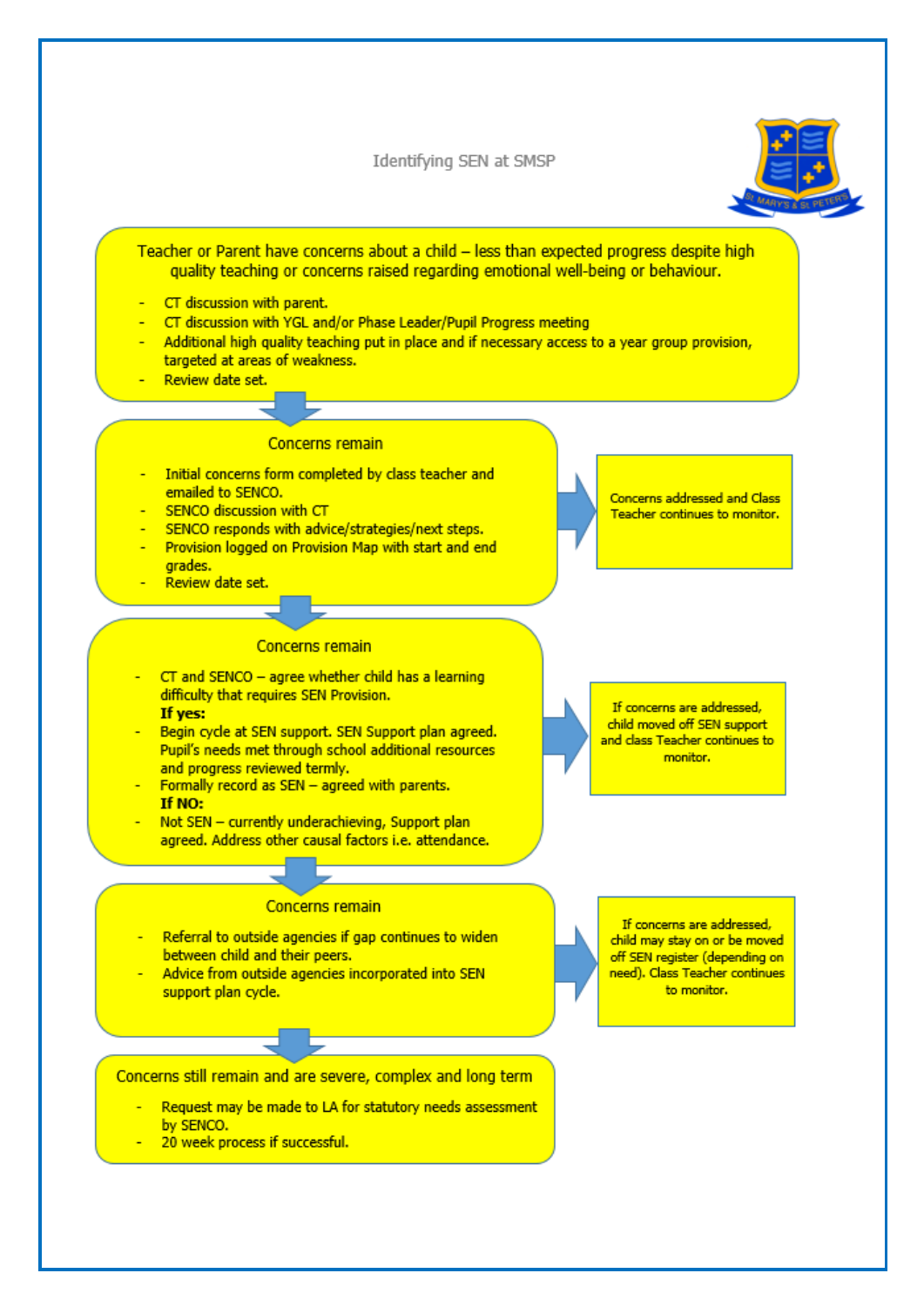Identifying SEN at SMSP



Teacher or Parent have concerns about a child - less than expected progress despite high quality teaching or concerns raised regarding emotional well-being or behaviour.

- CT discussion with parent.
- CT discussion with YGL and/or Phase Leader/Pupil Progress meeting
- Additional high quality teaching put in place and if necessary access to a year group provision, targeted at areas of weakness.
- Review date set.

#### **Concerns remain**

- Initial concerns form completed by class teacher and emailed to SENCO.
- SENCO discussion with CT
- SENCO responds with advice/strategies/next steps.
- Provision logged on Provision Map with start and end grades.
- Review date set.

#### **Concerns remain**

- $CT$  and SENCO agree whether child has a learning difficulty that requires SEN Provision. If yes:
- Begin cycle at SEN support. SEN Support plan agreed. Pupil's needs met through school additional resources and progress reviewed termly.
- Formally record as SEN agreed with parents. If NO:
- Not SEN currently underachieving, Support plan agreed. Address other causal factors i.e. attendance.

**Concerns remain** 

- Referral to outside agencies if gap continues to widen between child and their peers.
- Advice from outside agencies incorporated into SEN support plan cycle.

Concerns still remain and are severe, complex and long term

- Request may be made to LA for statutory needs assessment by SENCO.
- 20 week process if successful.

If concerns are addressed, child may stay on or be moved off SEN register (depending on need). Class Teacher continues to monitor.

Concerns addressed and Class Teacher continues to monitor.

If concerns are addressed, child moved off SEN support and class Teacher continues to monitor.